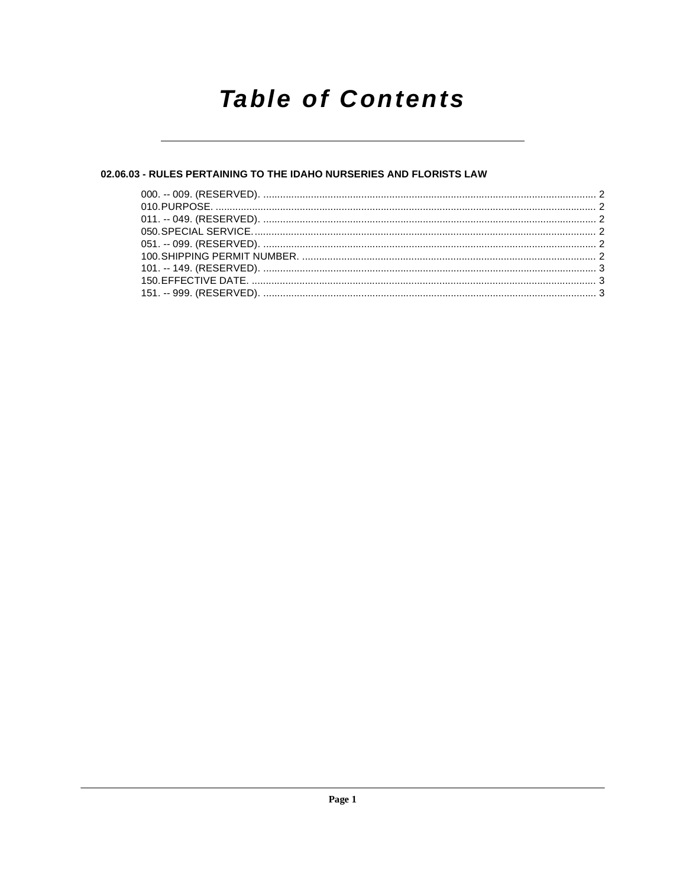## **Table of Contents**

## 02.06.03 - RULES PERTAINING TO THE IDAHO NURSERIES AND FLORISTS LAW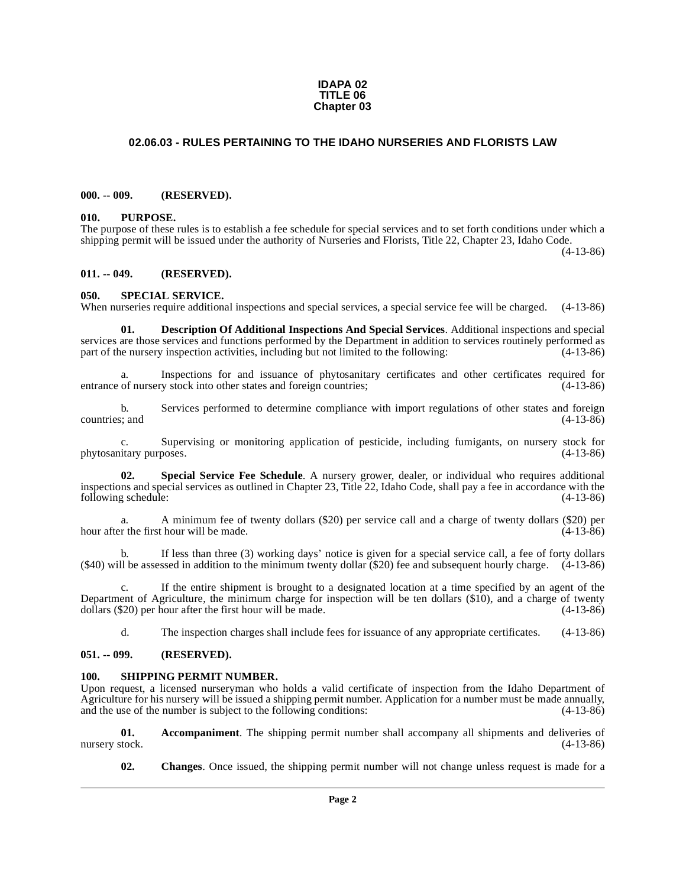#### **IDAPA 02 TITLE 06 Chapter 03**

## <span id="page-1-0"></span>**02.06.03 - RULES PERTAINING TO THE IDAHO NURSERIES AND FLORISTS LAW**

#### <span id="page-1-1"></span>**000. -- 009. (RESERVED).**

#### <span id="page-1-2"></span>**010. PURPOSE.**

The purpose of these rules is to establish a fee schedule for special services and to set forth conditions under which a shipping permit will be issued under the authority of Nurseries and Florists, Title 22, Chapter 23, Idaho Code.

(4-13-86)

#### <span id="page-1-3"></span>**011. -- 049. (RESERVED).**

#### <span id="page-1-12"></span><span id="page-1-4"></span>**050. SPECIAL SERVICE.**

When nurseries require additional inspections and special services, a special service fee will be charged. (4-13-86)

<span id="page-1-9"></span>**01. Description Of Additional Inspections And Special Services**. Additional inspections and special services are those services and functions performed by the Department in addition to services routinely performed as part of the nursery inspection activities, including but not limited to the following:  $(4-13-86)$ part of the nursery inspection activities, including but not limited to the following:

a. Inspections for and issuance of phytosanitary certificates and other certificates required for of nursery stock into other states and foreign countries; (4-13-86) entrance of nursery stock into other states and foreign countries;

b. Services performed to determine compliance with import regulations of other states and foreign  $(4-13-86)$ countries; and

c. Supervising or monitoring application of pesticide, including fumigants, on nursery stock for phytosanitary purposes.

<span id="page-1-11"></span>**02. Special Service Fee Schedule**. A nursery grower, dealer, or individual who requires additional inspections and special services as outlined in Chapter 23, Title 22, Idaho Code, shall pay a fee in accordance with the following schedule:

a. A minimum fee of twenty dollars (\$20) per service call and a charge of twenty dollars (\$20) per hour after the first hour will be made. (4-13-86)

b. If less than three (3) working days' notice is given for a special service call, a fee of forty dollars (\$40) will be assessed in addition to the minimum twenty dollar (\$20) fee and subsequent hourly charge. (4-13-86)

c. If the entire shipment is brought to a designated location at a time specified by an agent of the Department of Agriculture, the minimum charge for inspection will be ten dollars (\$10), and a charge of twenty dollars (\$20) per hour after the first hour will be made.  $(4-13-86)$ dollars  $(\$20)$  per hour after the first hour will be made.

<span id="page-1-10"></span>d. The inspection charges shall include fees for issuance of any appropriate certificates. (4-13-86)

## <span id="page-1-5"></span>**051. -- 099. (RESERVED).**

#### <span id="page-1-6"></span>**100. SHIPPING PERMIT NUMBER.**

Upon request, a licensed nurseryman who holds a valid certificate of inspection from the Idaho Department of Agriculture for his nursery will be issued a shipping permit number. Application for a number must be made annually, and the use of the number is subject to the following conditions: (4-13-86) and the use of the number is subject to the following conditions:

**01. Accompaniment**. The shipping permit number shall accompany all shipments and deliveries of nursery stock. (4-13-86)

<span id="page-1-8"></span><span id="page-1-7"></span>**02. Changes**. Once issued, the shipping permit number will not change unless request is made for a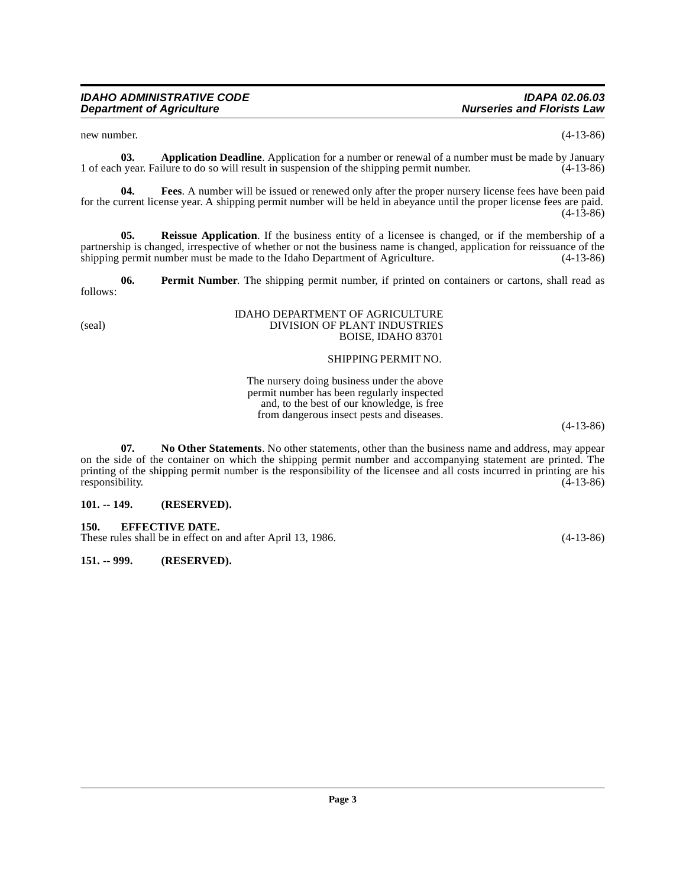<span id="page-2-3"></span>new number. (4-13-86)

**03. Application Deadline**. Application for a number or renewal of a number must be made by January permit number. (4-13-86) 1 of each year. Failure to do so will result in suspension of the shipping permit number. (4-13-86)

<span id="page-2-5"></span>**04. Fees**. A number will be issued or renewed only after the proper nursery license fees have been paid for the current license year. A shipping permit number will be held in abeyance until the proper license fees are paid. (4-13-86)

<span id="page-2-8"></span>**05. Reissue Application**. If the business entity of a licensee is changed, or if the membership of a partnership is changed, irrespective of whether or not the business name is changed, application for reissuance of the shipping permit number must be made to the Idaho Department of Agriculture. (4-13-86) shipping permit number must be made to the Idaho Department of Agriculture.

<span id="page-2-7"></span>**06. Permit Number**. The shipping permit number, if printed on containers or cartons, shall read as follows:

#### IDAHO DEPARTMENT OF AGRICULTURE (seal) DIVISION OF PLANT INDUSTRIES BOISE, IDAHO 83701

## SHIPPING PERMIT NO.

The nursery doing business under the above permit number has been regularly inspected and, to the best of our knowledge, is free from dangerous insect pests and diseases.

(4-13-86)

<span id="page-2-6"></span>**07. No Other Statements**. No other statements, other than the business name and address, may appear on the side of the container on which the shipping permit number and accompanying statement are printed. The printing of the shipping permit number is the responsibility of the licensee and all costs incurred in printing are his responsibility. (4-13-86) responsibility.

## <span id="page-2-0"></span>**101. -- 149. (RESERVED).**

<span id="page-2-4"></span><span id="page-2-1"></span>**150. EFFECTIVE DATE.** 

These rules shall be in effect on and after April 13, 1986. (4-13-86)

<span id="page-2-2"></span>**151. -- 999. (RESERVED).**